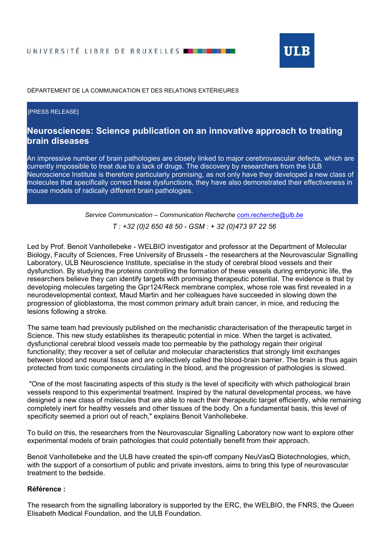

DÉPARTEMENT DE LA COMMUNICATION ET DES RELATIONS EXTÉRIEURES

## [PRESS RELEASE]

## Neurosciences: Science publication on an innovative approach to treating brain diseases

An impressive number of brain pathologies are closely linked to major cerebrovascular defects, which are currently impossible to treat due to a lack of drugs. The discovery by researchers from the ULB Neuroscience Institute is therefore particularly promising, as not only have they developed a new class of molecules that specifically correct these dysfunctions, they have also demonstrated their effectiveness in mouse models of radically different brain pathologies.

> Service Communication – Communication Recherche com.recherche@ulb.be T : +32 (0)2 650 48 50 - GSM : + 32 (0)473 97 22 56

Led by Prof. Benoit Vanhollebeke - WELBIO investigator and professor at the Department of Molecular Biology, Faculty of Sciences, Free University of Brussels - the researchers at the Neurovascular Signalling Laboratory, ULB Neuroscience Institute, specialise in the study of cerebral blood vessels and their dysfunction. By studying the proteins controlling the formation of these vessels during embryonic life, the researchers believe they can identify targets with promising therapeutic potential. The evidence is that by developing molecules targeting the Gpr124/Reck membrane complex, whose role was first revealed in a neurodevelopmental context, Maud Martin and her colleagues have succeeded in slowing down the progression of glioblastoma, the most common primary adult brain cancer, in mice, and reducing the lesions following a stroke.

The same team had previously published on the mechanistic characterisation of the therapeutic target in Science. This new study establishes its therapeutic potential in mice. When the target is activated, dysfunctional cerebral blood vessels made too permeable by the pathology regain their original functionality; they recover a set of cellular and molecular characteristics that strongly limit exchanges between blood and neural tissue and are collectively called the blood-brain barrier. The brain is thus again protected from toxic components circulating in the blood, and the progression of pathologies is slowed.

 "One of the most fascinating aspects of this study is the level of specificity with which pathological brain vessels respond to this experimental treatment. Inspired by the natural developmental process, we have designed a new class of molecules that are able to reach their therapeutic target efficiently, while remaining completely inert for healthy vessels and other tissues of the body. On a fundamental basis, this level of specificity seemed a priori out of reach," explains Benoit Vanhollebeke.

To build on this, the researchers from the Neurovascular Signalling Laboratory now want to explore other experimental models of brain pathologies that could potentially benefit from their approach.

Benoit Vanhollebeke and the ULB have created the spin-off company NeuVasQ Biotechnologies, which, with the support of a consortium of public and private investors, aims to bring this type of neurovascular treatment to the bedside.

## Référence :

The research from the signalling laboratory is supported by the ERC, the WELBIO, the FNRS, the Queen Elisabeth Medical Foundation, and the ULB Foundation.